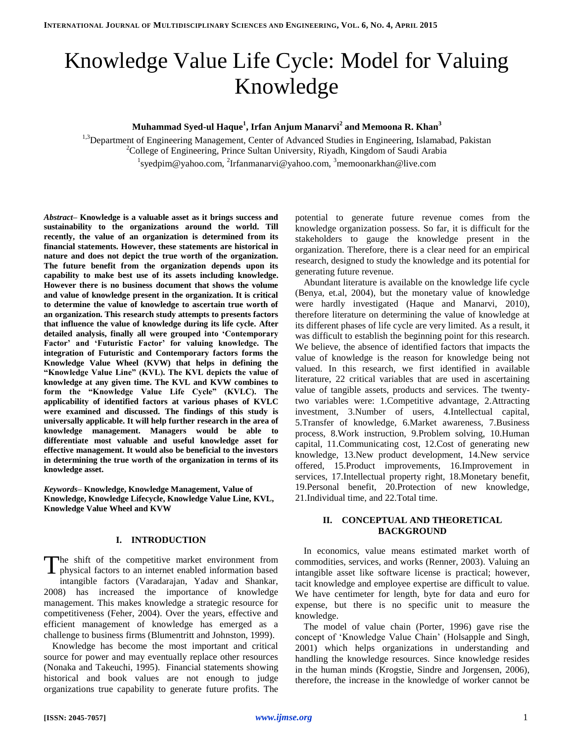# Knowledge Value Life Cycle: Model for Valuing Knowledge

**Muhammad Syed-ul Haque<sup>1</sup> , Irfan Anjum Manarvi<sup>2</sup> and Memoona R. Khan<sup>3</sup>**

<sup>1,3</sup>Department of Engineering Management, Center of Advanced Studies in Engineering, Islamabad, Pakistan <sup>2</sup>College of Engineering, Prince Sultan University, Riyadh, Kingdom of Saudi Arabia  $1$ syedpim@yahoo.com,  $2$ Irfanmanarvi@yahoo.com,  $3$ memoonarkhan@live.com

*Abstract***– Knowledge is a valuable asset as it brings success and sustainability to the organizations around the world. Till recently, the value of an organization is determined from its financial statements. However, these statements are historical in nature and does not depict the true worth of the organization. The future benefit from the organization depends upon its capability to make best use of its assets including knowledge. However there is no business document that shows the volume and value of knowledge present in the organization. It is critical to determine the value of knowledge to ascertain true worth of an organization. This research study attempts to presents factors that influence the value of knowledge during its life cycle. After detailed analysis, finally all were grouped into 'Contemporary Factor' and 'Futuristic Factor' for valuing knowledge. The integration of Futuristic and Contemporary factors forms the Knowledge Value Wheel (KVW) that helps in defining the "Knowledge Value Line" (KVL). The KVL depicts the value of knowledge at any given time. The KVL and KVW combines to form the "Knowledge Value Life Cycle" (KVLC). The applicability of identified factors at various phases of KVLC were examined and discussed. The findings of this study is universally applicable. It will help further research in the area of knowledge management. Managers would be able to differentiate most valuable and useful knowledge asset for effective management. It would also be beneficial to the investors in determining the true worth of the organization in terms of its knowledge asset.**

*Keywords–* **Knowledge, Knowledge Management, Value of Knowledge, Knowledge Lifecycle, Knowledge Value Line, KVL, Knowledge Value Wheel and KVW**

#### **I. INTRODUCTION**

he shift of the competitive market environment from physical factors to an internet enabled information based intangible factors (Varadarajan, Yadav and Shankar, 2008) has increased the importance of knowledge management. This makes knowledge a strategic resource for competitiveness (Feher, 2004). Over the years, effective and efficient management of knowledge has emerged as a challenge to business firms (Blumentritt and Johnston, 1999). T

Knowledge has become the most important and critical source for power and may eventually replace other resources (Nonaka and Takeuchi, 1995). Financial statements showing historical and book values are not enough to judge organizations true capability to generate future profits. The potential to generate future revenue comes from the knowledge organization possess. So far, it is difficult for the stakeholders to gauge the knowledge present in the organization. Therefore, there is a clear need for an empirical research, designed to study the knowledge and its potential for generating future revenue.

Abundant literature is available on the knowledge life cycle (Benya, et.al, 2004), but the monetary value of knowledge were hardly investigated (Haque and Manarvi, 2010), therefore literature on determining the value of knowledge at its different phases of life cycle are very limited. As a result, it was difficult to establish the beginning point for this research. We believe, the absence of identified factors that impacts the value of knowledge is the reason for knowledge being not valued. In this research, we first identified in available literature, 22 critical variables that are used in ascertaining value of tangible assets, products and services. The twentytwo variables were: 1.Competitive advantage, 2.Attracting investment, 3.Number of users, 4.Intellectual capital, 5.Transfer of knowledge, 6.Market awareness, 7.Business process, 8.Work instruction, 9.Problem solving, 10.Human capital, 11.Communicating cost, 12.Cost of generating new knowledge, 13.New product development, 14.New service offered, 15.Product improvements, 16.Improvement in services, 17.Intellectual property right, 18.Monetary benefit, 19.Personal benefit, 20.Protection of new knowledge, 21.Individual time, and 22.Total time.

## **II. CONCEPTUAL AND THEORETICAL BACKGROUND**

In economics, value means estimated market worth of commodities, services, and works (Renner, 2003). Valuing an intangible asset like software license is practical; however, tacit knowledge and employee expertise are difficult to value. We have centimeter for length, byte for data and euro for expense, but there is no specific unit to measure the knowledge.

The model of value chain (Porter, 1996) gave rise the concept of 'Knowledge Value Chain' (Holsapple and Singh, 2001) which helps organizations in understanding and handling the knowledge resources. Since knowledge resides in the human minds (Krogstie, Sindre and Jorgensen, 2006), therefore, the increase in the knowledge of worker cannot be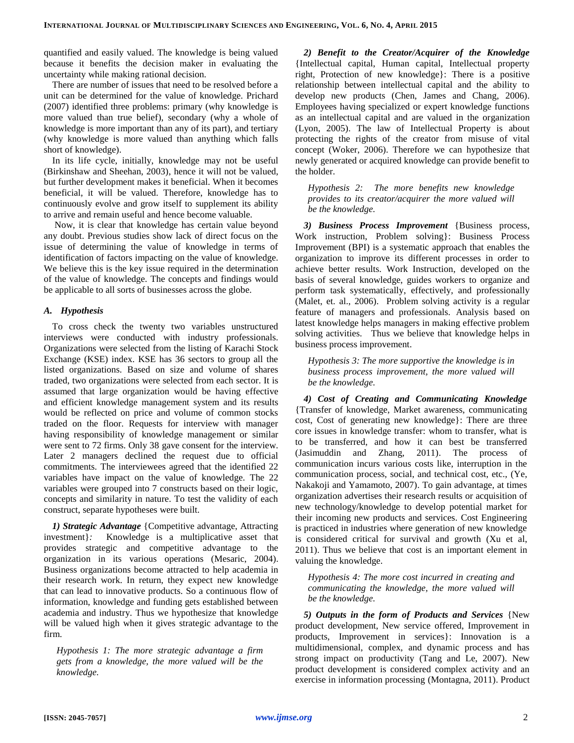quantified and easily valued. The knowledge is being valued because it benefits the decision maker in evaluating the uncertainty while making rational decision.

There are number of issues that need to be resolved before a unit can be determined for the value of knowledge. Prichard (2007) identified three problems: primary (why knowledge is more valued than true belief), secondary (why a whole of knowledge is more important than any of its part), and tertiary (why knowledge is more valued than anything which falls short of knowledge).

In its life cycle, initially, knowledge may not be useful (Birkinshaw and Sheehan, 2003), hence it will not be valued, but further development makes it beneficial. When it becomes beneficial, it will be valued. Therefore, knowledge has to continuously evolve and grow itself to supplement its ability to arrive and remain useful and hence become valuable.

Now, it is clear that knowledge has certain value beyond any doubt. Previous studies show lack of direct focus on the issue of determining the value of knowledge in terms of identification of factors impacting on the value of knowledge. We believe this is the key issue required in the determination of the value of knowledge. The concepts and findings would be applicable to all sorts of businesses across the globe.

## *A. Hypothesis*

To cross check the twenty two variables unstructured interviews were conducted with industry professionals. Organizations were selected from the listing of Karachi Stock Exchange (KSE) index. KSE has 36 sectors to group all the listed organizations. Based on size and volume of shares traded, two organizations were selected from each sector. It is assumed that large organization would be having effective and efficient knowledge management system and its results would be reflected on price and volume of common stocks traded on the floor. Requests for interview with manager having responsibility of knowledge management or similar were sent to 72 firms. Only 38 gave consent for the interview. Later 2 managers declined the request due to official commitments. The interviewees agreed that the identified 22 variables have impact on the value of knowledge. The 22 variables were grouped into 7 constructs based on their logic, concepts and similarity in nature. To test the validity of each construct, separate hypotheses were built.

*1) Strategic Advantage* {Competitive advantage, Attracting investment}*:* Knowledge is a multiplicative asset that provides strategic and competitive advantage to the organization in its various operations (Mesaric, 2004). Business organizations become attracted to help academia in their research work. In return, they expect new knowledge that can lead to innovative products. So a continuous flow of information, knowledge and funding gets established between academia and industry. Thus we hypothesize that knowledge will be valued high when it gives strategic advantage to the firm.

*Hypothesis 1: The more strategic advantage a firm gets from a knowledge, the more valued will be the knowledge.* 

*2) Benefit to the Creator/Acquirer of the Knowledge* {Intellectual capital, Human capital, Intellectual property right, Protection of new knowledge}: There is a positive relationship between intellectual capital and the ability to develop new products (Chen, James and Chang, 2006). Employees having specialized or expert knowledge functions as an intellectual capital and are valued in the organization (Lyon, 2005). The law of Intellectual Property is about protecting the rights of the creator from misuse of vital concept (Woker, 2006). Therefore we can hypothesize that newly generated or acquired knowledge can provide benefit to the holder.

*Hypothesis 2: The more benefits new knowledge provides to its creator/acquirer the more valued will be the knowledge.* 

*3) Business Process Improvement* {Business process, Work instruction, Problem solving}: Business Process Improvement (BPI) is a systematic approach that enables the organization to improve its different processes in order to achieve better results. Work Instruction, developed on the basis of several knowledge, guides workers to organize and perform task systematically, effectively, and professionally (Malet, et. al., 2006). Problem solving activity is a regular feature of managers and professionals. Analysis based on latest knowledge helps managers in making effective problem solving activities. Thus we believe that knowledge helps in business process improvement.

*Hypothesis 3: The more supportive the knowledge is in business process improvement, the more valued will be the knowledge.* 

*4) Cost of Creating and Communicating Knowledge* {Transfer of knowledge, Market awareness, communicating cost, Cost of generating new knowledge}: There are three core issues in knowledge transfer: whom to transfer, what is to be transferred, and how it can best be transferred (Jasimuddin and Zhang, 2011). The process of communication incurs various costs like, interruption in the communication process, social, and technical cost, etc., (Ye, Nakakoji and Yamamoto, 2007). To gain advantage, at times organization advertises their research results or acquisition of new technology/knowledge to develop potential market for their incoming new products and services. Cost Engineering is practiced in industries where generation of new knowledge is considered critical for survival and growth (Xu et al, 2011). Thus we believe that cost is an important element in valuing the knowledge.

*Hypothesis 4: The more cost incurred in creating and communicating the knowledge, the more valued will be the knowledge.* 

*5) Outputs in the form of Products and Services* {New product development, New service offered, Improvement in products, Improvement in services}: Innovation is a multidimensional, complex, and dynamic process and has strong impact on productivity (Tang and Le, 2007). New product development is considered complex activity and an exercise in information processing (Montagna, 2011). Product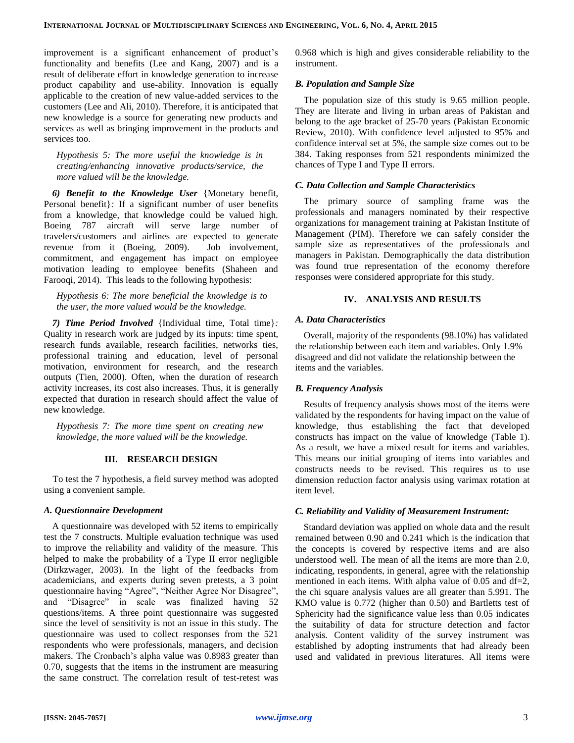improvement is a significant enhancement of product's functionality and benefits (Lee and Kang, 2007) and is a result of deliberate effort in knowledge generation to increase product capability and use-ability. Innovation is equally applicable to the creation of new value-added services to the customers (Lee and Ali, 2010). Therefore, it is anticipated that new knowledge is a source for generating new products and services as well as bringing improvement in the products and services too.

*Hypothesis 5: The more useful the knowledge is in creating/enhancing innovative products/service, the more valued will be the knowledge.* 

*6) Benefit to the Knowledge User* {Monetary benefit, Personal benefit}*:* If a significant number of user benefits from a knowledge, that knowledge could be valued high. Boeing 787 aircraft will serve large number of travelers/customers and airlines are expected to generate revenue from it (Boeing, 2009). Job involvement, commitment, and engagement has impact on employee motivation leading to employee benefits (Shaheen and Farooqi, 2014). This leads to the following hypothesis:

*Hypothesis 6: The more beneficial the knowledge is to the user, the more valued would be the knowledge.* 

*7) Time Period Involved* {Individual time, Total time}*:* Quality in research work are judged by its inputs: time spent, research funds available, research facilities, networks ties, professional training and education, level of personal motivation, environment for research, and the research outputs (Tien, 2000). Often, when the duration of research activity increases, its cost also increases. Thus, it is generally expected that duration in research should affect the value of new knowledge.

*Hypothesis 7: The more time spent on creating new knowledge, the more valued will be the knowledge.* 

## **III. RESEARCH DESIGN**

To test the 7 hypothesis, a field survey method was adopted using a convenient sample.

## *A. Questionnaire Development*

A questionnaire was developed with 52 items to empirically test the 7 constructs. Multiple evaluation technique was used to improve the reliability and validity of the measure. This helped to make the probability of a Type II error negligible (Dirkzwager, 2003). In the light of the feedbacks from academicians, and experts during seven pretests, a 3 point questionnaire having "Agree", "Neither Agree Nor Disagree", and "Disagree" in scale was finalized having 52 questions/items. A three point questionnaire was suggested since the level of sensitivity is not an issue in this study. The questionnaire was used to collect responses from the 521 respondents who were professionals, managers, and decision makers. The Cronbach's alpha value was 0.8983 greater than 0.70, suggests that the items in the instrument are measuring the same construct. The correlation result of test-retest was 0.968 which is high and gives considerable reliability to the instrument.

# *B. Population and Sample Size*

The population size of this study is 9.65 million people. They are literate and living in urban areas of Pakistan and belong to the age bracket of 25-70 years (Pakistan Economic Review, 2010). With confidence level adjusted to 95% and confidence interval set at 5%, the sample size comes out to be 384. Taking responses from 521 respondents minimized the chances of Type I and Type II errors.

# *C. Data Collection and Sample Characteristics*

The primary source of sampling frame was the professionals and managers nominated by their respective organizations for management training at Pakistan Institute of Management (PIM). Therefore we can safely consider the sample size as representatives of the professionals and managers in Pakistan. Demographically the data distribution was found true representation of the economy therefore responses were considered appropriate for this study.

# **IV. ANALYSIS AND RESULTS**

# *A. Data Characteristics*

Overall, majority of the respondents (98.10%) has validated the relationship between each item and variables. Only 1.9% disagreed and did not validate the relationship between the items and the variables.

#### *B. Frequency Analysis*

Results of frequency analysis shows most of the items were validated by the respondents for having impact on the value of knowledge, thus establishing the fact that developed constructs has impact on the value of knowledge (Table 1). As a result, we have a mixed result for items and variables. This means our initial grouping of items into variables and constructs needs to be revised. This requires us to use dimension reduction factor analysis using varimax rotation at item level.

#### *C. Reliability and Validity of Measurement Instrument:*

Standard deviation was applied on whole data and the result remained between 0.90 and 0.241 which is the indication that the concepts is covered by respective items and are also understood well. The mean of all the items are more than 2.0, indicating, respondents, in general, agree with the relationship mentioned in each items. With alpha value of  $0.05$  and  $df=2$ , the chi square analysis values are all greater than 5.991. The KMO value is 0.772 (higher than 0.50) and Bartletts test of Sphericity had the significance value less than 0.05 indicates the suitability of data for structure detection and factor analysis. Content validity of the survey instrument was established by adopting instruments that had already been used and validated in previous literatures. All items were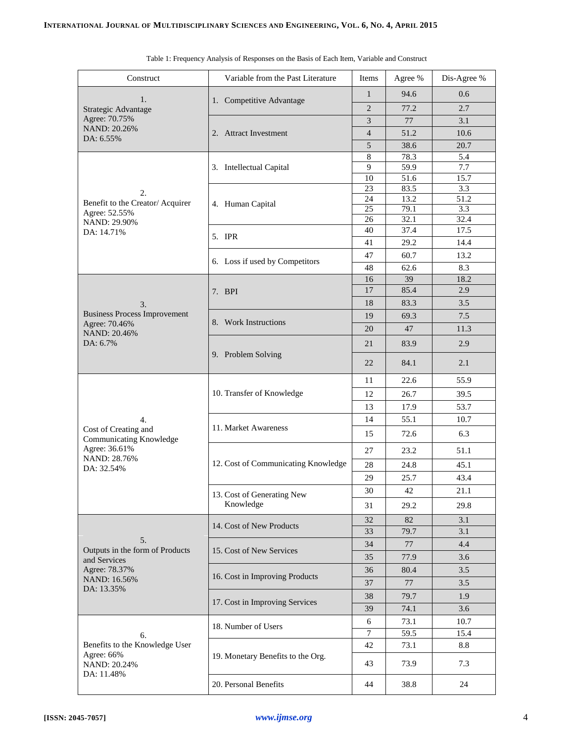| Construct                                                                        | Variable from the Past Literature   | Items               | Agree %      | Dis-Agree % |
|----------------------------------------------------------------------------------|-------------------------------------|---------------------|--------------|-------------|
|                                                                                  |                                     | 1                   | 94.6         | 0.6         |
| 1.<br>Strategic Advantage                                                        | 1. Competitive Advantage            | $\overline{2}$      | 77.2         | 2.7         |
| Agree: 70.75%                                                                    |                                     | 3                   | 77           | 3.1         |
| NAND: 20.26%                                                                     | 2. Attract Investment               | $\overline{4}$      | 51.2         | 10.6        |
| DA: 6.55%                                                                        |                                     | 5                   | 38.6         | 20.7        |
|                                                                                  |                                     | 8                   | 78.3         | 5.4         |
|                                                                                  | 3. Intellectual Capital             | 9                   | 59.9         | 7.7         |
|                                                                                  |                                     | 10                  | 51.6         | 15.7        |
| 2.                                                                               |                                     | 23                  | 83.5         | 3.3         |
| Benefit to the Creator/Acquirer                                                  | 4. Human Capital                    | 24                  | 13.2         | 51.2        |
| Agree: 52.55%                                                                    |                                     | 25<br>26            | 79.1<br>32.1 | 3.3<br>32.4 |
| NAND: 29.90%<br>DA: 14.71%                                                       |                                     | 40                  | 37.4         | 17.5        |
|                                                                                  | 5. IPR                              | 41                  | 29.2         | 14.4        |
|                                                                                  |                                     | 47                  | 60.7         | 13.2        |
|                                                                                  | 6. Loss if used by Competitors      | 48                  | 62.6         | 8.3         |
|                                                                                  |                                     | 16                  | 39           | 18.2        |
|                                                                                  | 7. BPI                              | 17                  | 85.4         | 2.9         |
| 3.                                                                               |                                     | 18                  | 83.3         | 3.5         |
| <b>Business Process Improvement</b>                                              |                                     | 19                  | 69.3         | 7.5         |
| Agree: 70.46%                                                                    | 8. Work Instructions                | 20                  | 47           | 11.3        |
| NAND: 20.46%<br>DA: 6.7%                                                         |                                     | 21                  | 83.9         | 2.9         |
|                                                                                  | 9. Problem Solving                  | 22                  | 84.1         | 2.1         |
|                                                                                  |                                     | 11                  | 22.6         | 55.9        |
|                                                                                  | 10. Transfer of Knowledge           | 12                  | 26.7         | 39.5        |
|                                                                                  |                                     | 13                  | 17.9         | 53.7        |
| 4.<br>Cost of Creating and<br>Communicating Knowledge<br>Agree: 36.61%           |                                     | 14                  | 55.1         | 10.7        |
|                                                                                  | 11. Market Awareness                | 15                  | 72.6         | 6.3         |
|                                                                                  |                                     | 27                  | 23.2         | 51.1        |
| NAND: 28.76%<br>DA: 32.54%                                                       | 12. Cost of Communicating Knowledge | 28                  | 24.8         | 45.1        |
|                                                                                  |                                     | 29                  | 25.7         | 43.4        |
|                                                                                  | 13. Cost of Generating New          | 30                  | 42           | 21.1        |
|                                                                                  | Knowledge                           | 31                  | 29.2         | 29.8        |
|                                                                                  |                                     | 32                  | 82           | 3.1         |
| 5.                                                                               | 14. Cost of New Products            | 33                  | 79.7         | 3.1         |
|                                                                                  |                                     | 34                  | 77           | 4.4         |
| Outputs in the form of Products                                                  | 15. Cost of New Services            | 35                  | 77.9         | 3.6         |
| and Services<br>Agree: 78.37%<br>NAND: 16.56%                                    |                                     | 36                  | 80.4         | 3.5         |
|                                                                                  | 16. Cost in Improving Products      | 37                  | 77           | 3.5         |
| DA: 13.35%                                                                       |                                     |                     |              |             |
|                                                                                  | 17. Cost in Improving Services      | 38                  | 79.7         | 1.9         |
| 6.<br>Benefits to the Knowledge User<br>Agree: 66%<br>NAND: 20.24%<br>DA: 11.48% |                                     | 39                  | 74.1         | 3.6         |
|                                                                                  | 18. Number of Users                 | 6<br>$\overline{7}$ | 73.1<br>59.5 | 10.7        |
|                                                                                  |                                     |                     |              | 15.4        |
|                                                                                  | 19. Monetary Benefits to the Org.   | 42                  | 73.1         | 8.8         |
|                                                                                  |                                     | 43                  | 73.9         | 7.3         |
|                                                                                  | 20. Personal Benefits               | 44                  | 38.8         | 24          |

|  |  |  |  | Table 1: Frequency Analysis of Responses on the Basis of Each Item, Variable and Construct |  |
|--|--|--|--|--------------------------------------------------------------------------------------------|--|
|  |  |  |  |                                                                                            |  |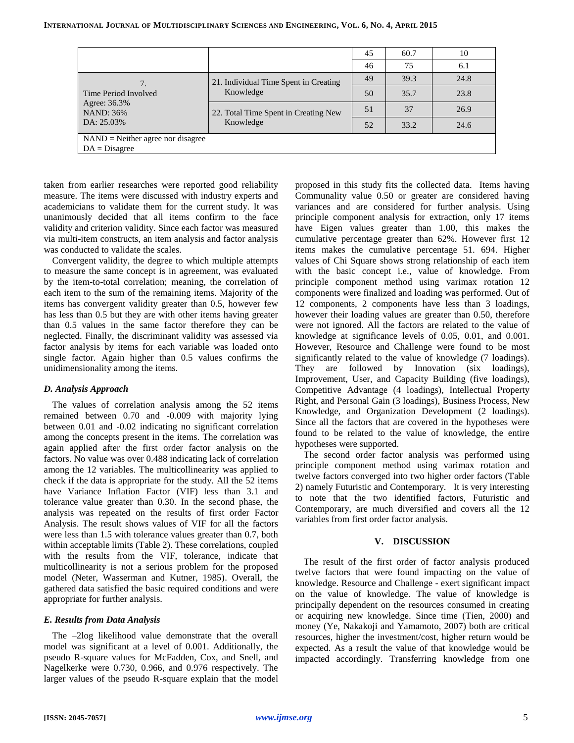|                                                                        |                                                   | 45 | 60.7 | 10   |  |  |  |
|------------------------------------------------------------------------|---------------------------------------------------|----|------|------|--|--|--|
|                                                                        |                                                   | 46 | 75   | 6.1  |  |  |  |
| Time Period Involved<br>Agree: 36.3%<br><b>NAND: 36%</b><br>DA: 25.03% | 21. Individual Time Spent in Creating             | 49 | 39.3 | 24.8 |  |  |  |
|                                                                        | Knowledge                                         | 50 | 35.7 | 23.8 |  |  |  |
|                                                                        | 22. Total Time Spent in Creating New<br>Knowledge | 51 | 37   | 26.9 |  |  |  |
|                                                                        |                                                   | 52 | 33.2 | 24.6 |  |  |  |
| $NAND = Neither agree nor disagree$                                    |                                                   |    |      |      |  |  |  |
| $DA = Disagree$                                                        |                                                   |    |      |      |  |  |  |

taken from earlier researches were reported good reliability measure. The items were discussed with industry experts and academicians to validate them for the current study. It was unanimously decided that all items confirm to the face validity and criterion validity. Since each factor was measured via multi-item constructs, an item analysis and factor analysis was conducted to validate the scales.

Convergent validity, the degree to which multiple attempts to measure the same concept is in agreement, was evaluated by the item-to-total correlation; meaning, the correlation of each item to the sum of the remaining items. Majority of the items has convergent validity greater than 0.5, however few has less than 0.5 but they are with other items having greater than 0.5 values in the same factor therefore they can be neglected. Finally, the discriminant validity was assessed via factor analysis by items for each variable was loaded onto single factor. Again higher than 0.5 values confirms the unidimensionality among the items.

## *D. Analysis Approach*

The values of correlation analysis among the 52 items remained between 0.70 and -0.009 with majority lying between 0.01 and -0.02 indicating no significant correlation among the concepts present in the items. The correlation was again applied after the first order factor analysis on the factors. No value was over 0.488 indicating lack of correlation among the 12 variables. The multicollinearity was applied to check if the data is appropriate for the study. All the 52 items have Variance Inflation Factor (VIF) less than 3.1 and tolerance value greater than 0.30. In the second phase, the analysis was repeated on the results of first order Factor Analysis. The result shows values of VIF for all the factors were less than 1.5 with tolerance values greater than 0.7, both within acceptable limits (Table 2). These correlations, coupled with the results from the VIF, tolerance, indicate that multicollinearity is not a serious problem for the proposed model (Neter, Wasserman and Kutner, 1985). Overall, the gathered data satisfied the basic required conditions and were appropriate for further analysis.

## *E. Results from Data Analysis*

The –2log likelihood value demonstrate that the overall model was significant at a level of 0.001. Additionally, the pseudo R-square values for McFadden, Cox, and Snell, and Nagelkerke were 0.730, 0.966, and 0.976 respectively. The larger values of the pseudo R-square explain that the model proposed in this study fits the collected data. Items having Communality value 0.50 or greater are considered having variances and are considered for further analysis. Using principle component analysis for extraction, only 17 items have Eigen values greater than 1.00, this makes the cumulative percentage greater than 62%. However first 12 items makes the cumulative percentage 51. 694. Higher values of Chi Square shows strong relationship of each item with the basic concept i.e., value of knowledge. From principle component method using varimax rotation 12 components were finalized and loading was performed. Out of 12 components, 2 components have less than 3 loadings, however their loading values are greater than 0.50, therefore were not ignored. All the factors are related to the value of knowledge at significance levels of 0.05, 0.01, and 0.001. However, Resource and Challenge were found to be most significantly related to the value of knowledge (7 loadings). They are followed by Innovation (six loadings), Improvement, User, and Capacity Building (five loadings), Competitive Advantage (4 loadings), Intellectual Property Right, and Personal Gain (3 loadings), Business Process, New Knowledge, and Organization Development (2 loadings). Since all the factors that are covered in the hypotheses were found to be related to the value of knowledge, the entire hypotheses were supported.

The second order factor analysis was performed using principle component method using varimax rotation and twelve factors converged into two higher order factors (Table 2) namely Futuristic and Contemporary. It is very interesting to note that the two identified factors, Futuristic and Contemporary, are much diversified and covers all the 12 variables from first order factor analysis.

## **V. DISCUSSION**

The result of the first order of factor analysis produced twelve factors that were found impacting on the value of knowledge. Resource and Challenge - exert significant impact on the value of knowledge. The value of knowledge is principally dependent on the resources consumed in creating or acquiring new knowledge. Since time (Tien, 2000) and money (Ye, Nakakoji and Yamamoto, 2007) both are critical resources, higher the investment/cost, higher return would be expected. As a result the value of that knowledge would be impacted accordingly. Transferring knowledge from one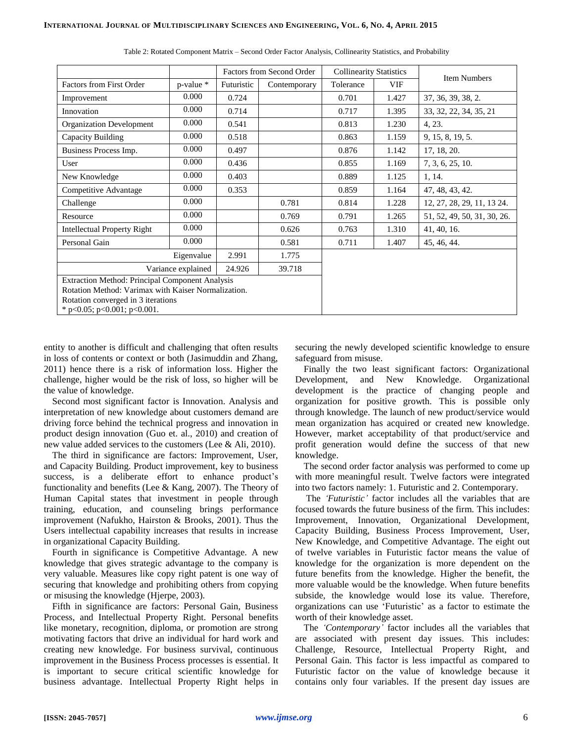|                                                                                                                                                                                      |                | Factors from Second Order |              | <b>Collinearity Statistics</b> |       |                             |  |
|--------------------------------------------------------------------------------------------------------------------------------------------------------------------------------------|----------------|---------------------------|--------------|--------------------------------|-------|-----------------------------|--|
| <b>Factors from First Order</b>                                                                                                                                                      | $p$ -value $*$ | Futuristic                | Contemporary | Tolerance                      | VIF   | <b>Item Numbers</b>         |  |
| Improvement                                                                                                                                                                          | 0.000          | 0.724                     |              | 0.701                          | 1.427 | 37, 36, 39, 38, 2.          |  |
| Innovation                                                                                                                                                                           | 0.000          | 0.714                     |              | 0.717                          | 1.395 | 33, 32, 22, 34, 35, 21      |  |
| <b>Organization Development</b>                                                                                                                                                      | 0.000          | 0.541                     |              | 0.813                          | 1.230 | 4, 23.                      |  |
| Capacity Building                                                                                                                                                                    | 0.000          | 0.518                     |              | 0.863                          | 1.159 | 9, 15, 8, 19, 5.            |  |
| Business Process Imp.                                                                                                                                                                | 0.000          | 0.497                     |              | 0.876                          | 1.142 | 17, 18, 20.                 |  |
| User                                                                                                                                                                                 | 0.000          | 0.436                     |              | 0.855                          | 1.169 | 7, 3, 6, 25, 10.            |  |
| New Knowledge                                                                                                                                                                        | 0.000          | 0.403                     |              | 0.889                          | 1.125 | 1, 14.                      |  |
| Competitive Advantage                                                                                                                                                                | 0.000          | 0.353                     |              | 0.859                          | 1.164 | 47, 48, 43, 42.             |  |
| Challenge                                                                                                                                                                            | 0.000          |                           | 0.781        | 0.814                          | 1.228 | 12, 27, 28, 29, 11, 13 24.  |  |
| Resource                                                                                                                                                                             | 0.000          |                           | 0.769        | 0.791                          | 1.265 | 51, 52, 49, 50, 31, 30, 26. |  |
| <b>Intellectual Property Right</b>                                                                                                                                                   | 0.000          |                           | 0.626        | 0.763                          | 1.310 | 41, 40, 16.                 |  |
| Personal Gain                                                                                                                                                                        | 0.000          |                           | 0.581        | 0.711                          | 1.407 | 45, 46, 44.                 |  |
|                                                                                                                                                                                      | Eigenvalue     | 2.991                     | 1.775        |                                |       |                             |  |
| Variance explained                                                                                                                                                                   |                |                           |              |                                |       |                             |  |
| Extraction Method: Principal Component Analysis<br>Rotation Method: Varimax with Kaiser Normalization.<br>Rotation converged in 3 iterations<br>* $p<0.05$ ; $p<0.001$ ; $p<0.001$ . |                |                           |              |                                |       |                             |  |

Table 2: Rotated Component Matrix – Second Order Factor Analysis, Collinearity Statistics, and Probability

entity to another is difficult and challenging that often results in loss of contents or context or both (Jasimuddin and Zhang, 2011) hence there is a risk of information loss. Higher the challenge, higher would be the risk of loss, so higher will be the value of knowledge.

Second most significant factor is Innovation. Analysis and interpretation of new knowledge about customers demand are driving force behind the technical progress and innovation in product design innovation (Guo et. al., 2010) and creation of new value added services to the customers (Lee & Ali, 2010).

The third in significance are factors: Improvement, User, and Capacity Building. Product improvement, key to business success, is a deliberate effort to enhance product's functionality and benefits (Lee & Kang, 2007). The Theory of Human Capital states that investment in people through training, education, and counseling brings performance improvement (Nafukho, Hairston & Brooks, 2001). Thus the Users intellectual capability increases that results in increase in organizational Capacity Building.

Fourth in significance is Competitive Advantage. A new knowledge that gives strategic advantage to the company is very valuable. Measures like copy right patent is one way of securing that knowledge and prohibiting others from copying or misusing the knowledge (Hjerpe, 2003).

Fifth in significance are factors: Personal Gain, Business Process, and Intellectual Property Right. Personal benefits like monetary, recognition, diploma, or promotion are strong motivating factors that drive an individual for hard work and creating new knowledge. For business survival, continuous improvement in the Business Process processes is essential. It is important to secure critical scientific knowledge for business advantage. Intellectual Property Right helps in

securing the newly developed scientific knowledge to ensure safeguard from misuse.

Finally the two least significant factors: Organizational Development, and New Knowledge. Organizational development is the practice of changing people and organization for positive growth. This is possible only through knowledge. The launch of new product/service would mean organization has acquired or created new knowledge. However, market acceptability of that product/service and profit generation would define the success of that new knowledge.

The second order factor analysis was performed to come up with more meaningful result. Twelve factors were integrated into two factors namely: 1. Futuristic and 2. Contemporary.

The *'Futuristic'* factor includes all the variables that are focused towards the future business of the firm. This includes: Improvement, Innovation, Organizational Development, Capacity Building, Business Process Improvement, User, New Knowledge, and Competitive Advantage. The eight out of twelve variables in Futuristic factor means the value of knowledge for the organization is more dependent on the future benefits from the knowledge. Higher the benefit, the more valuable would be the knowledge. When future benefits subside, the knowledge would lose its value. Therefore, organizations can use 'Futuristic' as a factor to estimate the worth of their knowledge asset.

The *'Contemporary'* factor includes all the variables that are associated with present day issues. This includes: Challenge, Resource, Intellectual Property Right, and Personal Gain. This factor is less impactful as compared to Futuristic factor on the value of knowledge because it contains only four variables. If the present day issues are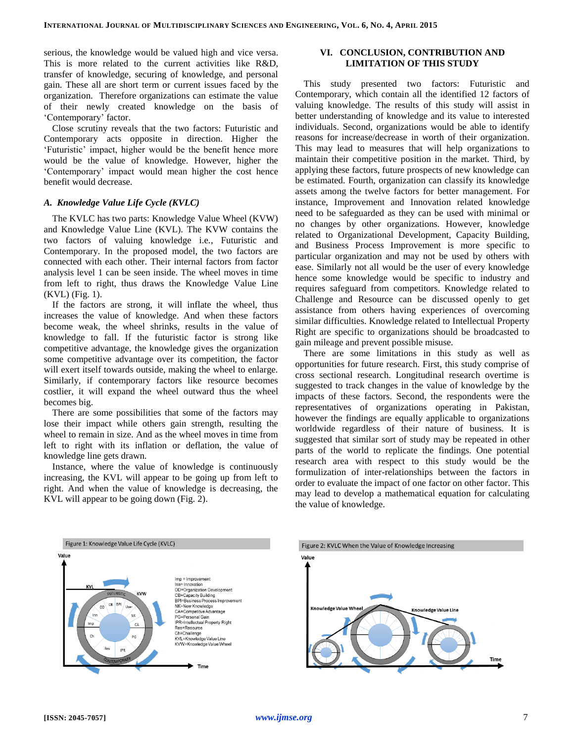serious, the knowledge would be valued high and vice versa. This is more related to the current activities like R&D, transfer of knowledge, securing of knowledge, and personal gain. These all are short term or current issues faced by the organization. Therefore organizations can estimate the value of their newly created knowledge on the basis of 'Contemporary' factor.

Close scrutiny reveals that the two factors: Futuristic and Contemporary acts opposite in direction. Higher the 'Futuristic' impact, higher would be the benefit hence more would be the value of knowledge. However, higher the 'Contemporary' impact would mean higher the cost hence benefit would decrease.

### *A. Knowledge Value Life Cycle (KVLC)*

The KVLC has two parts: Knowledge Value Wheel (KVW) and Knowledge Value Line (KVL). The KVW contains the two factors of valuing knowledge i.e., Futuristic and Contemporary. In the proposed model, the two factors are connected with each other. Their internal factors from factor analysis level 1 can be seen inside. The wheel moves in time from left to right, thus draws the Knowledge Value Line (KVL) (Fig. 1).

If the factors are strong, it will inflate the wheel, thus increases the value of knowledge. And when these factors become weak, the wheel shrinks, results in the value of knowledge to fall. If the futuristic factor is strong like competitive advantage, the knowledge gives the organization some competitive advantage over its competition, the factor will exert itself towards outside, making the wheel to enlarge. Similarly, if contemporary factors like resource becomes costlier, it will expand the wheel outward thus the wheel becomes big.

There are some possibilities that some of the factors may lose their impact while others gain strength, resulting the wheel to remain in size. And as the wheel moves in time from left to right with its inflation or deflation, the value of knowledge line gets drawn.

Instance, where the value of knowledge is continuously increasing, the KVL will appear to be going up from left to right. And when the value of knowledge is decreasing, the KVL will appear to be going down (Fig. 2).

## **VI. CONCLUSION, CONTRIBUTION AND LIMITATION OF THIS STUDY**

This study presented two factors: Futuristic and Contemporary, which contain all the identified 12 factors of valuing knowledge. The results of this study will assist in better understanding of knowledge and its value to interested individuals. Second, organizations would be able to identify reasons for increase/decrease in worth of their organization. This may lead to measures that will help organizations to maintain their competitive position in the market. Third, by applying these factors, future prospects of new knowledge can be estimated. Fourth, organization can classify its knowledge assets among the twelve factors for better management. For instance, Improvement and Innovation related knowledge need to be safeguarded as they can be used with minimal or no changes by other organizations. However, knowledge related to Organizational Development, Capacity Building, and Business Process Improvement is more specific to particular organization and may not be used by others with ease. Similarly not all would be the user of every knowledge hence some knowledge would be specific to industry and requires safeguard from competitors. Knowledge related to Challenge and Resource can be discussed openly to get assistance from others having experiences of overcoming similar difficulties. Knowledge related to Intellectual Property Right are specific to organizations should be broadcasted to gain mileage and prevent possible misuse.

There are some limitations in this study as well as opportunities for future research. First, this study comprise of cross sectional research. Longitudinal research overtime is suggested to track changes in the value of knowledge by the impacts of these factors. Second, the respondents were the representatives of organizations operating in Pakistan, however the findings are equally applicable to organizations worldwide regardless of their nature of business. It is suggested that similar sort of study may be repeated in other parts of the world to replicate the findings. One potential research area with respect to this study would be the formulization of inter-relationships between the factors in order to evaluate the impact of one factor on other factor. This may lead to develop a mathematical equation for calculating the value of knowledge.